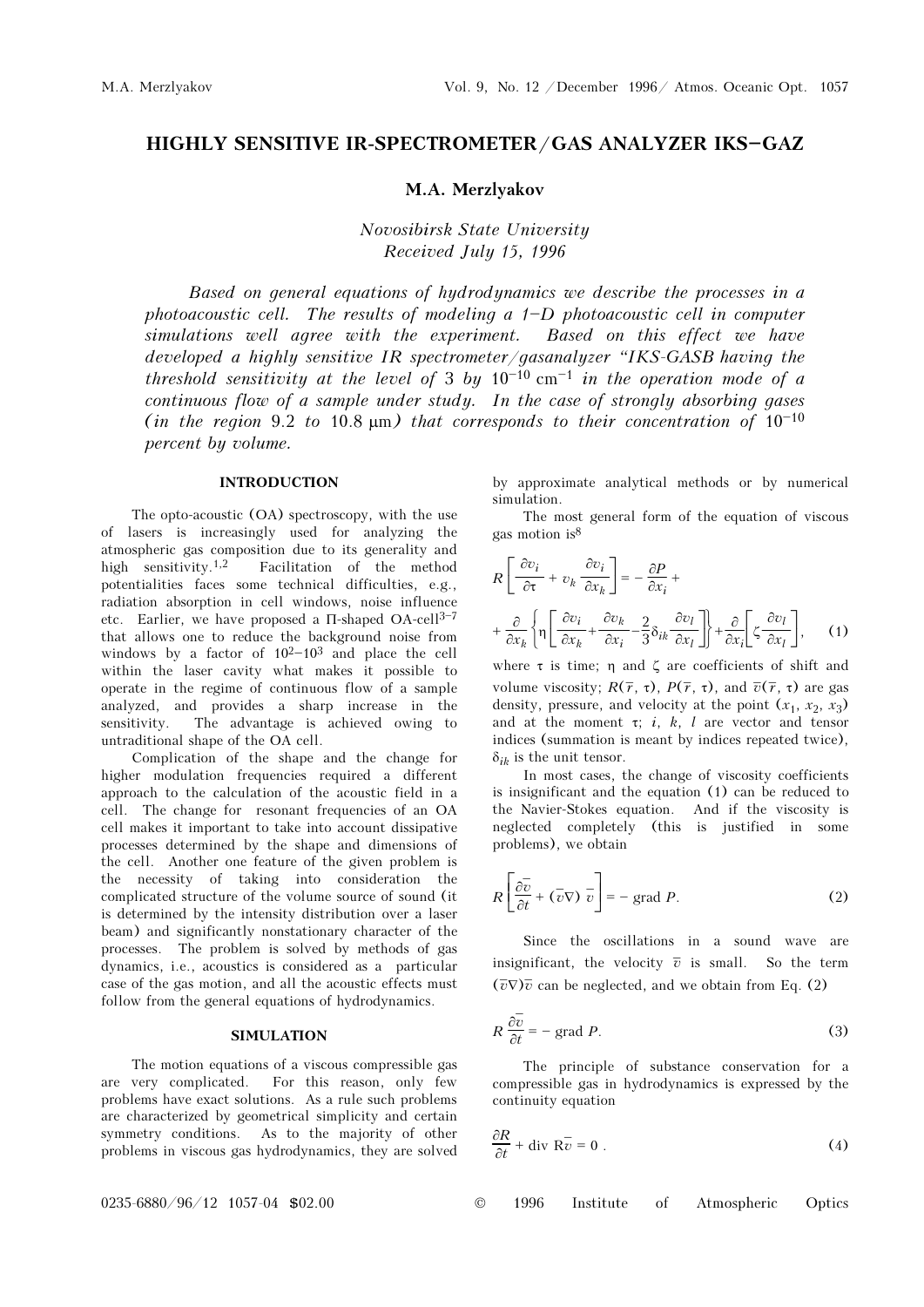# HIGHLY SENSITIVE IR-SPECTROMETER/GAS ANALYZER IKS-GAZ

# M.A. Merzlyakov

Novosibirsk State University Received July 15, 1996

Based on general equations of hydrodynamics we describe the processes in a photoacoustic cell. The results of modeling a  $1-D$  photoacoustic cell in computer simulations well agree with the experiment. Based on this effect we have developed a highly sensitive IR spectrometer/gasanalyzer "IKS-GASB having the threshold sensitivity at the level of 3 by  $10^{-10}$  cm<sup>-1</sup> in the operation mode of a continuous flow of a sample under study. In the case of strongly absorbing gases (in the region 9.2 to 10.8  $\mu$ m) that corresponds to their concentration of 10<sup>-10</sup> percent by volume.

# INTRODUCTION

The opto-acoustic (OA) spectroscopy, with the use of lasers is increasingly used for analyzing the atmospheric gas composition due to its generality and high sensitivity.<sup>1,2</sup> Facilitation of the method potentialities faces some technical difficulties, e.g., radiation absorption in cell windows, noise influence etc. Earlier, we have proposed a  $\Pi$ -shaped OA-cell<sup>3-7</sup> that allows one to reduce the background noise from windows by a factor of  $10^{2}-10^{3}$  and place the cell within the laser cavity what makes it possible to operate in the regime of continuous flow of a sample analyzed, and provides a sharp increase in the sensitivity. The advantage is achieved owing to untraditional shape of the OA cell.

Complication of the shape and the change for higher modulation frequencies required a different approach to the calculation of the acoustic field in a cell. The change for resonant frequencies of an OA cell makes it important to take into account dissipative processes determined by the shape and dimensions of the cell. Another one feature of the given problem is the necessity of taking into consideration the complicated structure of the volume source of sound (it is determined by the intensity distribution over a laser beam) and significantly nonstationary character of the processes. The problem is solved by methods of gas dynamics, i.e., acoustics is considered as a particular case of the gas motion, and all the acoustic effects must follow from the general equations of hydrodynamics.

## SIMULATION

The motion equations of a viscous compressible gas are very complicated. For this reason, only few problems have exact solutions. As a rule such problems are characterized by geometrical simplicity and certain symmetry conditions. As to the majority of other problems in viscous gas hydrodynamics, they are solved by approximate analytical methods or by numerical simulation.

The most general form of the equation of viscous gas motion is<sup>8</sup>

$$
R\left[\frac{\partial v_i}{\partial \tau} + v_k \frac{\partial v_i}{\partial x_k}\right] = -\frac{\partial P}{\partial x_i} + \frac{\partial}{\partial x_k} + \frac{\partial}{\partial x_k} + \frac{\partial v_k}{\partial x_k} - \frac{2}{3} \delta_{ik} \frac{\partial v_l}{\partial x_l} \right] + \frac{\partial}{\partial x_k} \left[\zeta \frac{\partial v_l}{\partial x_l}\right], \quad (1)
$$

where  $\tau$  is time;  $\eta$  and  $\zeta$  are coefficients of shift and volume viscosity;  $R(\overline{r}, \tau)$ ,  $P(\overline{r}, \tau)$ , and  $\overline{v}(\overline{r}, \tau)$  are gas density, pressure, and velocity at the point  $(x_1, x_2, x_3)$ and at the moment  $\tau$ ; *i*, *k*, *l* are vector and tensor indices (summation is meant by indices repeated twice),  $\delta_{ih}$  is the unit tensor.

In most cases, the change of viscosity coefficients is insignificant and the equation (1) can be reduced to the Navier-Stokes equation. And if the viscosity is neglected completely (this is justified in some problems), we obtain

$$
R\left[\frac{\partial \overline{v}}{\partial t} + (\overline{v}\nabla) \overline{v}\right] = -\text{ grad } P.
$$
 (2)

Since the oscillations in a sound wave are insignificant, the velocity  $\overline{v}$  is small. So the term  $(\overline{v}\nabla)\overline{v}$  can be neglected, and we obtain from Eq. (2)

$$
R\frac{\partial \overline{v}}{\partial t} = -\text{ grad } P. \tag{3}
$$

The principle of substance conservation for a compressible gas in hydrodynamics is expressed by the continuity equation

$$
\frac{\partial R}{\partial t} + \text{div } R\overline{v} = 0 \tag{4}
$$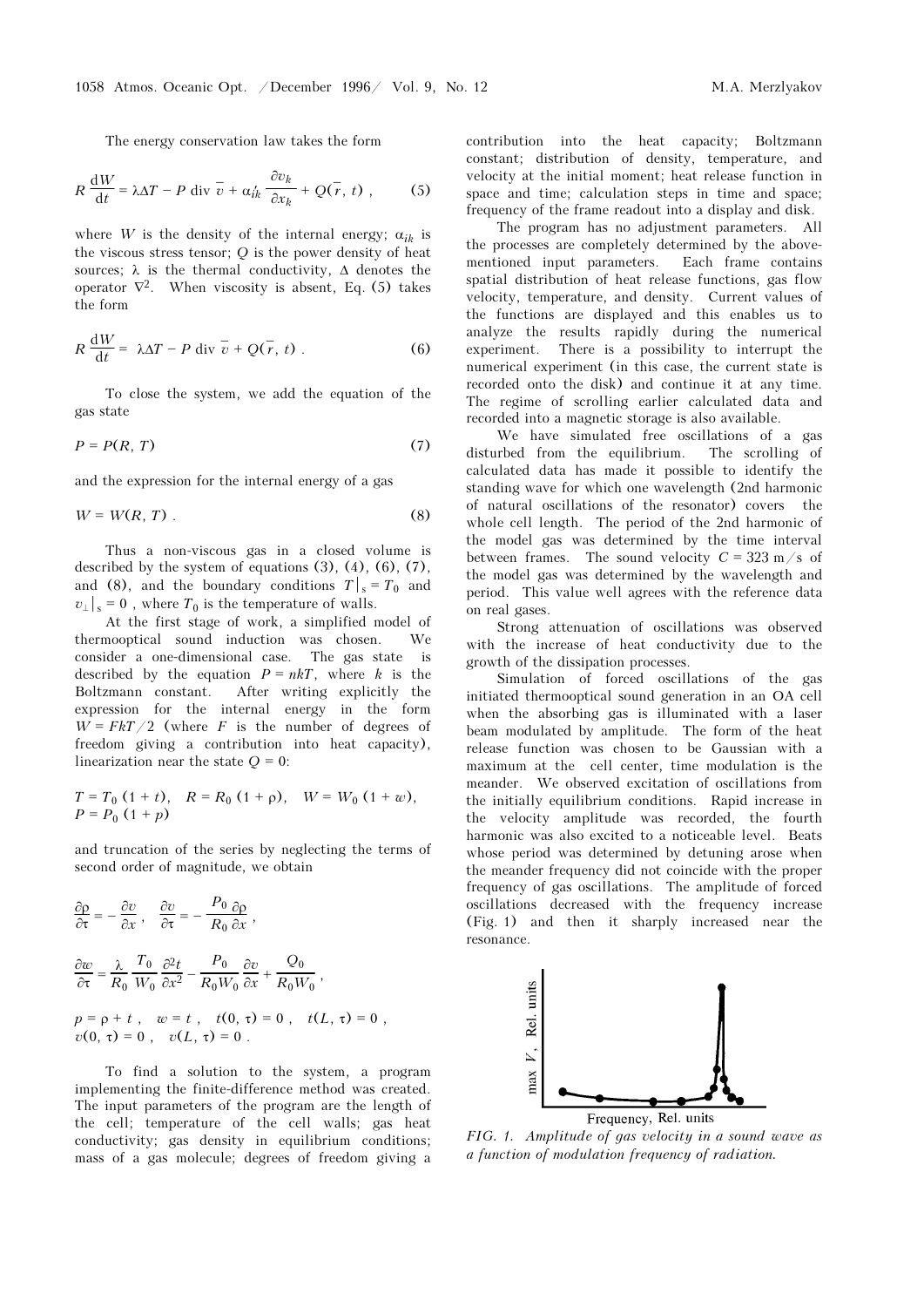The energy conservation law takes the form

$$
R\,\frac{\mathrm{d}W}{\mathrm{d}t} = \lambda \Delta T - P\,\,\mathrm{div}\,\,\overline{v} + \alpha_{ik}\,\frac{\partial v_k}{\partial x_k} + Q(\overline{r},\,t)\,\,,\tag{5}
$$

where W is the density of the internal energy;  $\alpha_{ik}$  is the viscous stress tensor; Q is the power density of heat sources;  $\lambda$  is the thermal conductivity,  $\Delta$  denotes the operator  $\nabla^2$ . When viscosity is absent, Eq. (5) takes the form

$$
R\frac{\mathrm{d}W}{\mathrm{d}t} = \lambda \Delta T - P \mathrm{div} \overline{v} + Q(\overline{r}, t) . \tag{6}
$$

To close the system, we add the equation of the gas state

$$
P = P(R, T) \tag{7}
$$

and the expression for the internal energy of a gas

$$
W = W(R, T) \tag{8}
$$

Thus a non-viscous gas in a closed volume is described by the system of equations (3), (4), (6), (7), and (8), and the boundary conditions  $T\vert_{s} = T_0$  and  $v_{\perp}$  s = 0, where  $T_0$  is the temperature of walls.

At the first stage of work, a simplified model of thermooptical sound induction was chosen. We consider a one-dimensional case. The gas state is described by the equation  $P = nkT$ , where k is the Boltzmann constant. After writing explicitly the expression for the internal energy in the form  $W = FkT/2$  (where F is the number of degrees of freedom giving a contribution into heat capacity), linearization near the state  $Q = 0$ :

$$
T = T_0 (1 + t), \quad R = R_0 (1 + \rho), \quad W = W_0 (1 + w),
$$
  
 
$$
P = P_0 (1 + p)
$$

and truncation of the series by neglecting the terms of second order of magnitude, we obtain

$$
\frac{\partial \rho}{\partial \tau} = -\frac{\partial v}{\partial x}, \quad \frac{\partial v}{\partial \tau} = -\frac{P_0}{R_0} \frac{\partial \rho}{\partial x},
$$
  

$$
\frac{\partial w}{\partial \tau} = \frac{\lambda}{R_0} \frac{T_0}{W_0} \frac{\partial^2 t}{\partial x^2} - \frac{P_0}{R_0 W_0} \frac{\partial v}{\partial x} + \frac{Q_0}{R_0 W_0},
$$
  

$$
p = \rho + t, \quad w = t, \quad t(0, \tau) = 0, \quad t(L, \tau) = 0,
$$
  

$$
v(0, \tau) = 0, \quad v(L, \tau) = 0.
$$

To find a solution to the system, a program implementing the finite-difference method was created. The input parameters of the program are the length of the cell; temperature of the cell walls; gas heat conductivity; gas density in equilibrium conditions; mass of a gas molecule; degrees of freedom giving a contribution into the heat capacity; Boltzmann constant; distribution of density, temperature, and velocity at the initial moment; heat release function in space and time; calculation steps in time and space; frequency of the frame readout into a display and disk.

The program has no adjustment parameters. All the processes are completely determined by the abovementioned input parameters. Each frame contains spatial distribution of heat release functions, gas flow velocity, temperature, and density. Current values of the functions are displayed and this enables us to analyze the results rapidly during the numerical experiment. There is a possibility to interrupt the numerical experiment (in this case, the current state is recorded onto the disk) and continue it at any time. The regime of scrolling earlier calculated data and recorded into a magnetic storage is also available.

We have simulated free oscillations of a gas disturbed from the equilibrium. The scrolling of calculated data has made it possible to identify the standing wave for which one wavelength (2nd harmonic of natural oscillations of the resonator) covers the whole cell length. The period of the 2nd harmonic of the model gas was determined by the time interval between frames. The sound velocity  $C = 323$  m/s of the model gas was determined by the wavelength and period. This value well agrees with the reference data on real gases.

Strong attenuation of oscillations was observed with the increase of heat conductivity due to the growth of the dissipation processes.

Simulation of forced oscillations of the gas initiated thermooptical sound generation in an OA cell when the absorbing gas is illuminated with a laser beam modulated by amplitude. The form of the heat release function was chosen to be Gaussian with a maximum at the cell center, time modulation is the meander. We observed excitation of oscillations from the initially equilibrium conditions. Rapid increase in the velocity amplitude was recorded, the fourth harmonic was also excited to a noticeable level. Beats whose period was determined by detuning arose when the meander frequency did not coincide with the proper frequency of gas oscillations. The amplitude of forced oscillations decreased with the frequency increase (Fig. 1) and then it sharply increased near the resonance.



FIG. 1. Amplitude of gas velocity in a sound wave as a function of modulation frequency of radiation.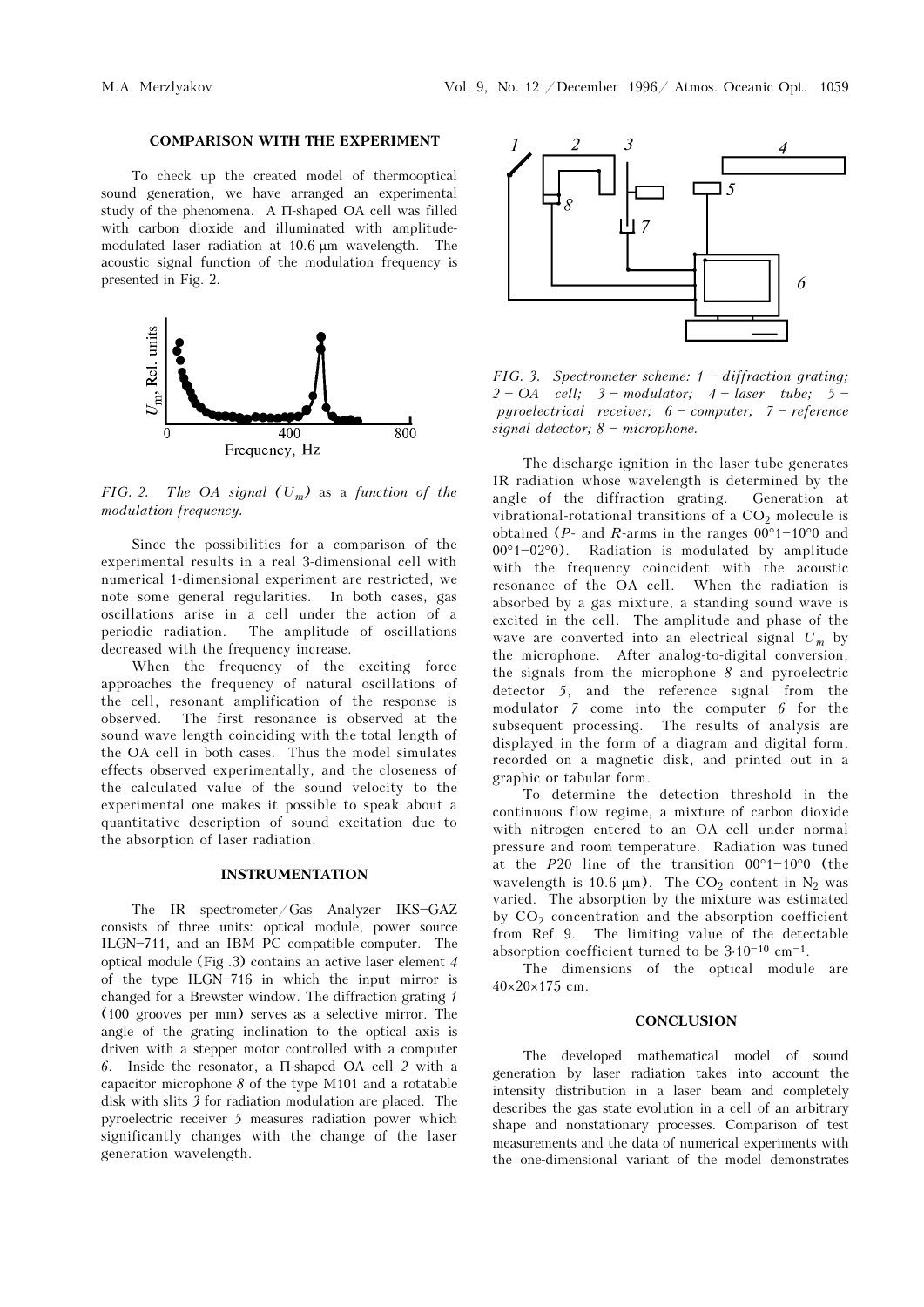#### COMPARISON WITH THE EXPERIMENT

To check up the created model of thermooptical sound generation, we have arranged an experimental study of the phenomena. A Π-shaped OA cell was filled with carbon dioxide and illuminated with amplitudemodulated laser radiation at 10.6 μm wavelength. The acoustic signal function of the modulation frequency is presented in Fig. 2.



FIG. 2. The OA signal  $(U_m)$  as a function of the modulation frequency.

Since the possibilities for a comparison of the experimental results in a real 3-dimensional cell with numerical 1-dimensional experiment are restricted, we note some general regularities. In both cases, gas oscillations arise in a cell under the action of a periodic radiation. The amplitude of oscillations decreased with the frequency increase.

When the frequency of the exciting force approaches the frequency of natural oscillations of the cell, resonant amplification of the response is observed. The first resonance is observed at the sound wave length coinciding with the total length of the OA cell in both cases. Thus the model simulates effects observed experimentally, and the closeness of the calculated value of the sound velocity to the experimental one makes it possible to speak about a quantitative description of sound excitation due to the absorption of laser radiation.

#### INSTRUMENTATION

The IR spectrometer/Gas Analyzer IKS-GAZ consists of three units: optical module, power source ILGN-711, and an IBM PC compatible computer. The optical module (Fig .3) contains an active laser element 4 of the type ILGN $-716$  in which the input mirror is changed for a Brewster window. The diffraction grating 1 (100 grooves per mm) serves as a selective mirror. The angle of the grating inclination to the optical axis is driven with a stepper motor controlled with a computer 6. Inside the resonator, a Π-shaped OA cell 2 with a capacitor microphone  $\delta$  of the type M101 and a rotatable disk with slits 3 for radiation modulation are placed. The pyroelectric receiver 5 measures radiation power which significantly changes with the change of the laser generation wavelength.



FIG. 3. Spectrometer scheme:  $1 - diffraction grating;$  $2 - OA$  cell;  $3 - modulator$ ;  $4 - laser$  tube;  $5$ pyroelectrical receiver;  $6$  - computer;  $7$  - reference signal detector;  $8 -$  microphone.

The discharge ignition in the laser tube generates IR radiation whose wavelength is determined by the angle of the diffraction grating. Generation at vibrational-rotational transitions of a  $CO<sub>2</sub>$  molecule is obtained ( $P$ - and  $R$ -arms in the ranges  $00°1-10°0$  and  $00°1-02°0$ . Radiation is modulated by amplitude with the frequency coincident with the acoustic resonance of the OA cell. When the radiation is absorbed by a gas mixture, a standing sound wave is excited in the cell. The amplitude and phase of the wave are converted into an electrical signal  $U_m$  by the microphone. After analog-to-digital conversion, the signals from the microphone  $\delta$  and pyroelectric detector 5, and the reference signal from the modulator 7 come into the computer 6 for the subsequent processing. The results of analysis are displayed in the form of a diagram and digital form, recorded on a magnetic disk, and printed out in a graphic or tabular form.

To determine the detection threshold in the continuous flow regime, a mixture of carbon dioxide with nitrogen entered to an OA cell under normal pressure and room temperature. Radiation was tuned at the P20 line of the transition  $00°1-10°0$  (the wavelength is 10.6  $\mu$ m). The CO<sub>2</sub> content in N<sub>2</sub> was varied. The absorption by the mixture was estimated by  $CO<sub>2</sub>$  concentration and the absorption coefficient from Ref. 9. The limiting value of the detectable absorption coefficient turned to be  $3{\cdot}10^{-10}$  cm $^{-1}.$ 

The dimensions of the optical module are 40×20×175 cm.

#### **CONCLUSION**

The developed mathematical model of sound generation by laser radiation takes into account the intensity distribution in a laser beam and completely describes the gas state evolution in a cell of an arbitrary shape and nonstationary processes. Comparison of test measurements and the data of numerical experiments with the one-dimensional variant of the model demonstrates